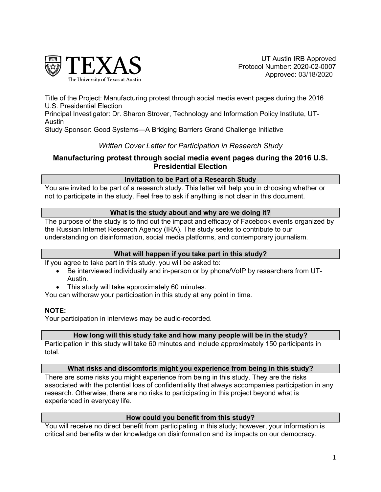

UT Austin IRB Approved Protocol Number: 2020-02-0007 Approved: 03/18/2020

Title of the Project: Manufacturing protest through social media event pages during the 2016 U.S. Presidential Election

Principal Investigator: Dr. Sharon Strover, Technology and Information Policy Institute, UT-Austin

Study Sponsor: Good Systems—A Bridging Barriers Grand Challenge Initiative

# *Written Cover Letter for Participation in Research Study*

# **Manufacturing protest through social media event pages during the 2016 U.S. Presidential Election**

### **Invitation to be Part of a Research Study**

You are invited to be part of a research study. This letter will help you in choosing whether or not to participate in the study. Feel free to ask if anything is not clear in this document.

### **What is the study about and why are we doing it?**

The purpose of the study is to find out the impact and efficacy of Facebook events organized by the Russian Internet Research Agency (IRA). The study seeks to contribute to our understanding on disinformation, social media platforms, and contemporary journalism.

### **What will happen if you take part in this study?**

If you agree to take part in this study, you will be asked to:

- Be interviewed individually and in-person or by phone/VoIP by researchers from UT-Austin.
- This study will take approximately 60 minutes.

You can withdraw your participation in this study at any point in time.

### **NOTE:**

Your participation in interviews may be audio-recorded.

### **How long will this study take and how many people will be in the study?**

Participation in this study will take 60 minutes and include approximately 150 participants in total.

### **What risks and discomforts might you experience from being in this study?**

There are some risks you might experience from being in this study. They are the risks associated with the potential loss of confidentiality that always accompanies participation in any research. Otherwise, there are no risks to participating in this project beyond what is experienced in everyday life.

### **How could you benefit from this study?**

You will receive no direct benefit from participating in this study; however, your information is critical and benefits wider knowledge on disinformation and its impacts on our democracy.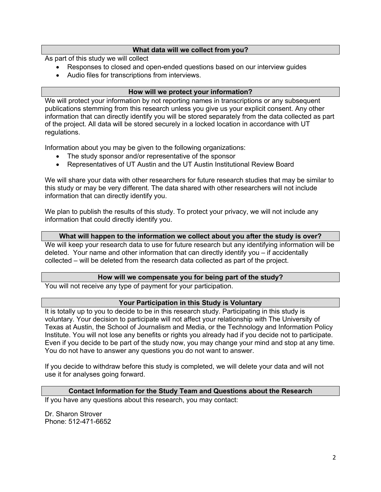### **What data will we collect from you?**

As part of this study we will collect

- Responses to closed and open-ended questions based on our interview guides
- Audio files for transcriptions from interviews.

## **How will we protect your information?**

We will protect your information by not reporting names in transcriptions or any subsequent publications stemming from this research unless you give us your explicit consent. Any other information that can directly identify you will be stored separately from the data collected as part of the project. All data will be stored securely in a locked location in accordance with UT regulations.

Information about you may be given to the following organizations:

- The study sponsor and/or representative of the sponsor
- Representatives of UT Austin and the UT Austin Institutional Review Board

We will share your data with other researchers for future research studies that may be similar to this study or may be very different. The data shared with other researchers will not include information that can directly identify you.

We plan to publish the results of this study. To protect your privacy, we will not include any information that could directly identify you.

### **What will happen to the information we collect about you after the study is over?**

We will keep your research data to use for future research but any identifying information will be deleted. Your name and other information that can directly identify you – if accidentally collected – will be deleted from the research data collected as part of the project.

### **How will we compensate you for being part of the study?**

You will not receive any type of payment for your participation.

### **Your Participation in this Study is Voluntary**

It is totally up to you to decide to be in this research study. Participating in this study is voluntary. Your decision to participate will not affect your relationship with The University of Texas at Austin, the School of Journalism and Media, or the Technology and Information Policy Institute. You will not lose any benefits or rights you already had if you decide not to participate. Even if you decide to be part of the study now, you may change your mind and stop at any time. You do not have to answer any questions you do not want to answer.

If you decide to withdraw before this study is completed, we will delete your data and will not use it for analyses going forward.

### **Contact Information for the Study Team and Questions about the Research**

If you have any questions about this research, you may contact:

Dr. Sharon Strover Phone: 512-471-6652